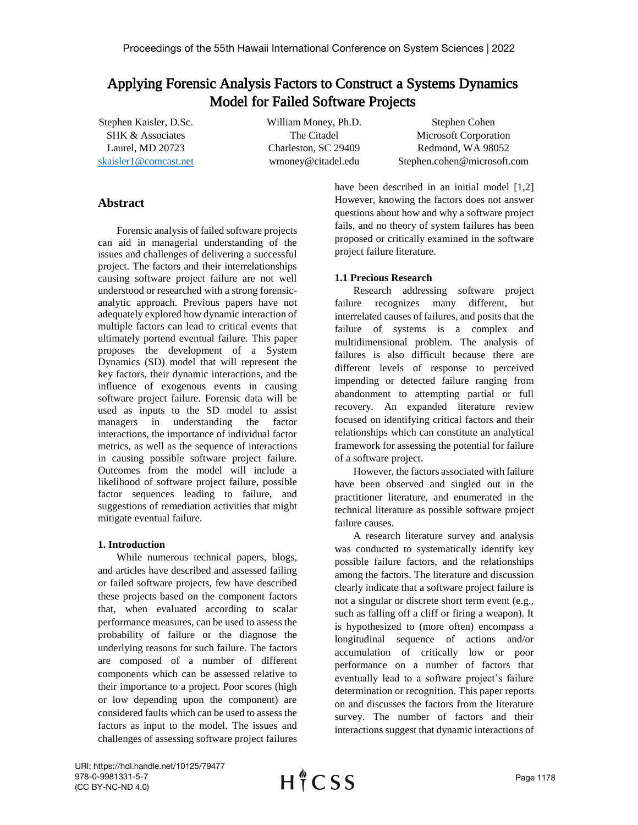# Applying Forensic Analysis Factors to Construct a Systems Dynamics Model for Failed Software Projects

Stephen Kaisler, D.Sc. SHK & Associates Laurel, MD 20723 skaisler1@[comcast.net](mailto:skaisler1@comcast.net) William Money, Ph.D. The Citadel Charleston, SC 29409 wmoney@citadel.edu

Stephen Cohen Microsoft Corporation Redmond, WA 98052 Stephen.cohen@microsoft.com

## **Abstract**

Forensic analysis of failed software projects can aid in managerial understanding of the issues and challenges of delivering a successful project. The factors and their interrelationships causing software project failure are not well understood or researched with a strong forensicanalytic approach. Previous papers have not adequately explored how dynamic interaction of multiple factors can lead to critical events that ultimately portend eventual failure. This paper proposes the development of a System Dynamics (SD) model that will represent the key factors, their dynamic interactions, and the influence of exogenous events in causing software project failure. Forensic data will be used as inputs to the SD model to assist managers in understanding the factor interactions, the importance of individual factor metrics, as well as the sequence of interactions in causing possible software project failure. Outcomes from the model will include a likelihood of software project failure, possible factor sequences leading to failure, and suggestions of remediation activities that might mitigate eventual failure.

## **1. Introduction**

While numerous technical papers, blogs, and articles have described and assessed failing or failed software projects, few have described these projects based on the component factors that, when evaluated according to scalar performance measures, can be used to assess the probability of failure or the diagnose the underlying reasons for such failure. The factors are composed of a number of different components which can be assessed relative to their importance to a project. Poor scores (high or low depending upon the component) are considered faults which can be used to assess the factors as input to the model. The issues and challenges of assessing software project failures

have been described in an initial model [1,2] However, knowing the factors does not answer questions about how and why a software project fails, and no theory of system failures has been proposed or critically examined in the software project failure literature.

## **1.1 Precious Research**

Research addressing software project failure recognizes many different, but interrelated causes of failures, and posits that the failure of systems is a complex and multidimensional problem. The analysis of failures is also difficult because there are different levels of response to perceived impending or detected failure ranging from abandonment to attempting partial or full recovery. An expanded literature review focused on identifying critical factors and their relationships which can constitute an analytical framework for assessing the potential for failure of a software project.

However, the factors associated with failure have been observed and singled out in the practitioner literature, and enumerated in the technical literature as possible software project failure causes.

A research literature survey and analysis was conducted to systematically identify key possible failure factors, and the relationships among the factors. The literature and discussion clearly indicate that a software project failure is not a singular or discrete short term event (e.g., such as falling off a cliff or firing a weapon). It is hypothesized to (more often) encompass a longitudinal sequence of actions and/or accumulation of critically low or poor performance on a number of factors that eventually lead to a software project's failure determination or recognition. This paper reports on and discusses the factors from the literature survey. The number of factors and their interactions suggest that dynamic interactions of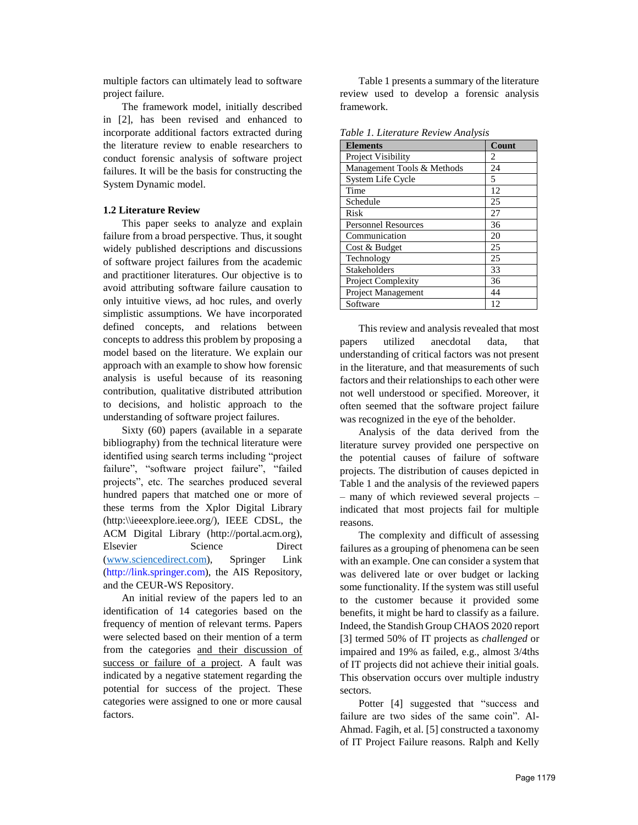multiple factors can ultimately lead to software project failure.

The framework model, initially described in [2], has been revised and enhanced to incorporate additional factors extracted during the literature review to enable researchers to conduct forensic analysis of software project failures. It will be the basis for constructing the System Dynamic model.

### **1.2 Literature Review**

This paper seeks to analyze and explain failure from a broad perspective. Thus, it sought widely published descriptions and discussions of software project failures from the academic and practitioner literatures. Our objective is to avoid attributing software failure causation to only intuitive views, ad hoc rules, and overly simplistic assumptions. We have incorporated defined concepts, and relations between concepts to address this problem by proposing a model based on the literature. We explain our approach with an example to show how forensic analysis is useful because of its reasoning contribution, qualitative distributed attribution to decisions, and holistic approach to the understanding of software project failures.

Sixty (60) papers (available in a separate bibliography) from the technical literature were identified using search terms including "project failure", "software project failure", "failed projects", etc. The searches produced several hundred papers that matched one or more of these terms from the Xplor Digital Library (http:\\ieeexplore.ieee.org/), IEEE CDSL, the ACM Digital Library (http://portal.acm.org), Elsevier Science Direct (www.scie[ncedirect.com\), Spring](http://www.sciencedirect.com/)er Link (http://link.springer.com), the AIS Repository, and the CEUR-WS Repository.

An initial review of the papers led to an identification of 14 categories based on the frequency of mention of relevant terms. Papers were selected based on their mention of a term from the categories and their discussion of success or failure of a project. A fault was indicated by a negative statement regarding the potential for success of the project. These categories were assigned to one or more causal factors.

Table 1 presents a summary of the literature review used to develop a forensic analysis framework.

| <b>Elements</b>            | Count |
|----------------------------|-------|
| Project Visibility         | 2     |
| Management Tools & Methods | 24    |
| System Life Cycle          | 5     |
| Time                       | 12    |
| Schedule                   | 25    |
| Risk                       | 27    |
| <b>Personnel Resources</b> | 36    |
| Communication              | 20    |
| Cost & Budget              | 25    |
| Technology                 | 25    |
| <b>Stakeholders</b>        | 33    |
| Project Complexity         | 36    |
| <b>Project Management</b>  | 44    |
| Software                   | 12    |

*Table 1. Literature Review Analysis* 

This review and analysis revealed that most papers utilized anecdotal data, that understanding of critical factors was not present in the literature, and that measurements of such factors and their relationships to each other were not well understood or specified. Moreover, it often seemed that the software project failure was recognized in the eye of the beholder.

Analysis of the data derived from the literature survey provided one perspective on the potential causes of failure of software projects. The distribution of causes depicted in Table 1 and the analysis of the reviewed papers – many of which reviewed several projects – indicated that most projects fail for multiple reasons.

The complexity and difficult of assessing failures as a grouping of phenomena can be seen with an example. One can consider a system that was delivered late or over budget or lacking some functionality. If the system was still useful to the customer because it provided some benefits, it might be hard to classify as a failure. Indeed, the Standish Group CHAOS 2020 report [3] termed 50% of IT projects as *challenged* or impaired and 19% as failed, e.g., almost 3/4ths of IT projects did not achieve their initial goals. This observation occurs over multiple industry sectors.

Potter [4] suggested that "success and failure are two sides of the same coin". Al-Ahmad. Fagih, et al. [5] constructed a taxonomy of IT Project Failure reasons. Ralph and Kelly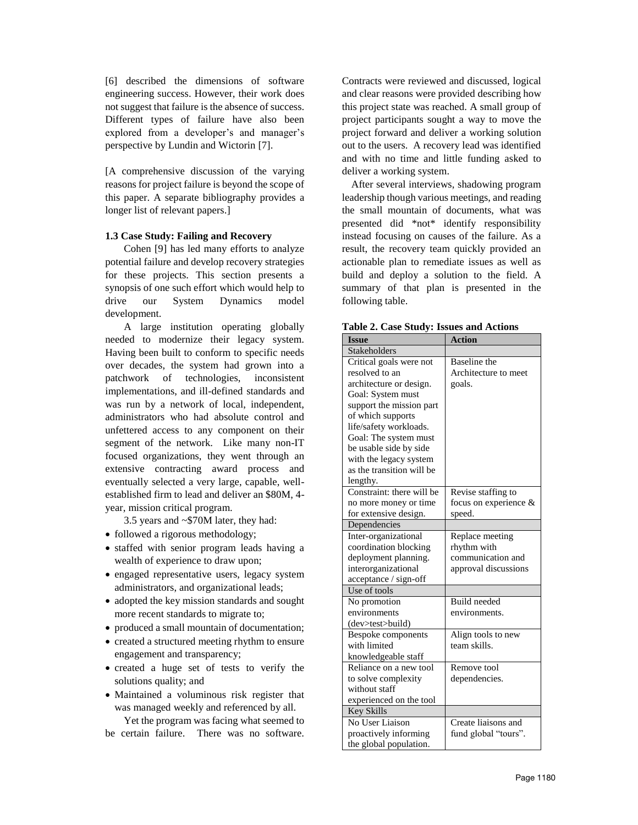[6] described the dimensions of software engineering success. However, their work does not suggest that failure is the absence of success. Different types of failure have also been explored from a developer's and manager's perspective by Lundin and Wictorin [7].

[A comprehensive discussion of the varying reasons for project failure is beyond the scope of this paper. A separate bibliography provides a longer list of relevant papers.]

### **1.3 Case Study: Failing and Recovery**

Cohen [9] has led many efforts to analyze potential failure and develop recovery strategies for these projects. This section presents a synopsis of one such effort which would help to drive our System Dynamics model development.

A large institution operating globally needed to modernize their legacy system. Having been built to conform to specific needs over decades, the system had grown into a patchwork of technologies, inconsistent implementations, and ill-defined standards and was run by a network of local, independent, administrators who had absolute control and unfettered access to any component on their segment of the network. Like many non-IT focused organizations, they went through an extensive contracting award process and eventually selected a very large, capable, wellestablished firm to lead and deliver an \$80M, 4 year, mission critical program.

3.5 years and ~\$70M later, they had:

- followed a rigorous methodology;
- staffed with senior program leads having a wealth of experience to draw upon;
- engaged representative users, legacy system administrators, and organizational leads;
- adopted the key mission standards and sought more recent standards to migrate to;
- produced a small mountain of documentation;
- created a structured meeting rhythm to ensure engagement and transparency;
- created a huge set of tests to verify the solutions quality; and
- Maintained a voluminous risk register that was managed weekly and referenced by all.

Yet the program was facing what seemed to be certain failure. There was no software. Contracts were reviewed and discussed, logical and clear reasons were provided describing how this project state was reached. A small group of project participants sought a way to move the project forward and deliver a working solution out to the users. A recovery lead was identified and with no time and little funding asked to deliver a working system.

After several interviews, shadowing program leadership though various meetings, and reading the small mountain of documents, what was presented did \*not\* identify responsibility instead focusing on causes of the failure. As a result, the recovery team quickly provided an actionable plan to remediate issues as well as build and deploy a solution to the field. A summary of that plan is presented in the following table.

| <b>Issue</b>              | <b>Action</b>         |
|---------------------------|-----------------------|
| Stakeholders              |                       |
| Critical goals were not   | Baseline the          |
| resolved to an            | Architecture to meet  |
| architecture or design.   | goals.                |
| Goal: System must         |                       |
| support the mission part  |                       |
| of which supports         |                       |
| life/safety workloads.    |                       |
| Goal: The system must     |                       |
| be usable side by side    |                       |
| with the legacy system    |                       |
| as the transition will be |                       |
| lengthy.                  |                       |
| Constraint: there will be | Revise staffing to    |
| no more money or time     | focus on experience & |
| for extensive design.     | speed.                |
| Dependencies              |                       |
| Inter-organizational      | Replace meeting       |
| coordination blocking     | rhythm with           |
| deployment planning.      | communication and     |
| interorganizational       | approval discussions  |
| acceptance / sign-off     |                       |
| Use of tools              |                       |
| No promotion              | <b>Build</b> needed   |
| environments              | environments.         |
| (dev>test>build)          |                       |
| Bespoke components        | Align tools to new    |
| with limited              | team skills.          |
| knowledgeable staff       |                       |
| Reliance on a new tool    | Remove tool           |
| to solve complexity       | dependencies.         |
| without staff             |                       |
| experienced on the tool   |                       |
| <b>Key Skills</b>         |                       |
| No User Liaison           | Create liaisons and   |
| proactively informing     | fund global "tours".  |
| the global population.    |                       |

**Table 2. Case Study: Issues and Actions**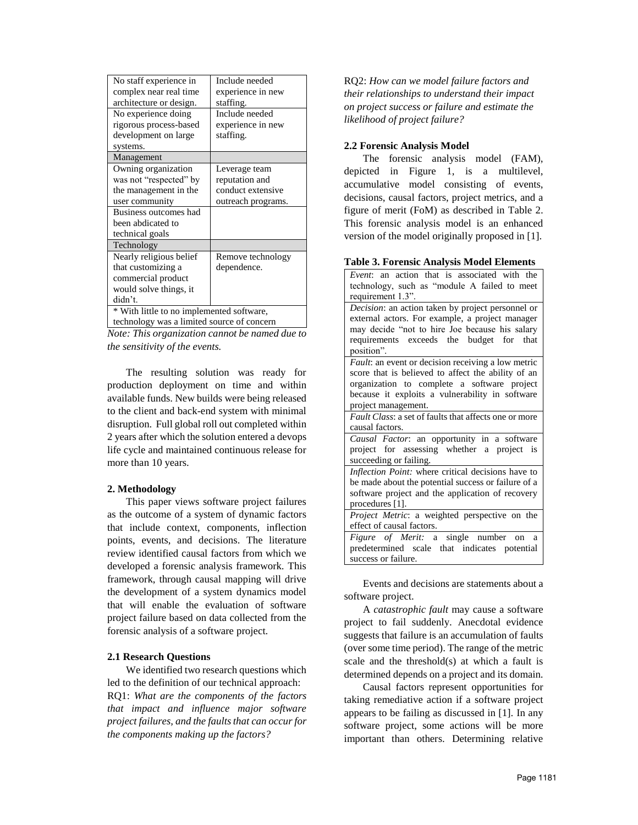| No staff experience in                     | Include needed     |
|--------------------------------------------|--------------------|
| complex near real time                     | experience in new  |
| architecture or design.                    | staffing.          |
| No experience doing                        | Include needed     |
| rigorous process-based                     | experience in new  |
| development on large                       | staffing.          |
| systems.                                   |                    |
| Management                                 |                    |
| Owning organization                        | Leverage team      |
| was not "respected" by                     | reputation and     |
| the management in the                      | conduct extensive  |
| user community                             | outreach programs. |
| Business outcomes had                      |                    |
| been abdicated to                          |                    |
| technical goals                            |                    |
| Technology                                 |                    |
| Nearly religious belief                    | Remove technology  |
| that customizing a                         | dependence.        |
| commercial product                         |                    |
| would solve things, it                     |                    |
| didn't.                                    |                    |
| * With little to no implemented software,  |                    |
| technology was a limited source of concern |                    |

*Note: This organization cannot be named due to the sensitivity of the events.* 

The resulting solution was ready for production deployment on time and within available funds. New builds were being released to the client and back-end system with minimal disruption. Full global roll out completed within 2 years after which the solution entered a devops life cycle and maintained continuous release for more than 10 years.

## **2. Methodology**

This paper views software project failures as the outcome of a system of dynamic factors that include context, components, inflection points, events, and decisions. The literature review identified causal factors from which we developed a forensic analysis framework. This framework, through causal mapping will drive the development of a system dynamics model that will enable the evaluation of software project failure based on data collected from the forensic analysis of a software project.

#### **2.1 Research Questions**

We identified two research questions which led to the definition of our technical approach: RQ1: *What are the components of the factors that impact and influence major software project failures, and the faults that can occur for the components making up the factors?*

RQ2: *How can we model failure factors and their relationships to understand their impact on project success or failure and estimate the likelihood of project failure?* 

#### **2.2 Forensic Analysis Model**

The forensic analysis model (FAM), depicted in Figure 1, is a multilevel, accumulative model consisting of events, decisions, causal factors, project metrics, and a figure of merit (FoM) as described in Table 2. This forensic analysis model is an enhanced version of the model originally proposed in [1].

#### **Table 3. Forensic Analysis Model Elements**

| Event: an action that is associated with the          |
|-------------------------------------------------------|
| technology, such as "module A failed to meet          |
| requirement 1.3".                                     |
| Decision: an action taken by project personnel or     |
| external actors. For example, a project manager       |
| may decide "not to hire Joe because his salary        |
| requirements exceeds the budget for that              |
| position".                                            |
| Fault: an event or decision receiving a low metric    |
| score that is believed to affect the ability of an    |
| organization to complete a software project           |
| because it exploits a vulnerability in software       |
| project management.                                   |
| Fault Class: a set of faults that affects one or more |
| causal factors.                                       |
| Causal Factor: an opportunity in a software           |
| project for assessing whether a project is            |
| succeeding or failing.                                |
| Inflection Point: where critical decisions have to    |
| be made about the potential success or failure of a   |
| software project and the application of recovery      |
| procedures [1].                                       |
| Project Metric: a weighted perspective on the         |
| effect of causal factors.                             |
| Figure of Merit: a single number on a                 |
| predetermined scale that indicates potential          |
| success or failure.                                   |

Events and decisions are statements about a software project.

A *catastrophic fault* may cause a software project to fail suddenly. Anecdotal evidence suggests that failure is an accumulation of faults (over some time period). The range of the metric scale and the threshold(s) at which a fault is determined depends on a project and its domain.

Causal factors represent opportunities for taking remediative action if a software project appears to be failing as discussed in [1]. In any software project, some actions will be more important than others. Determining relative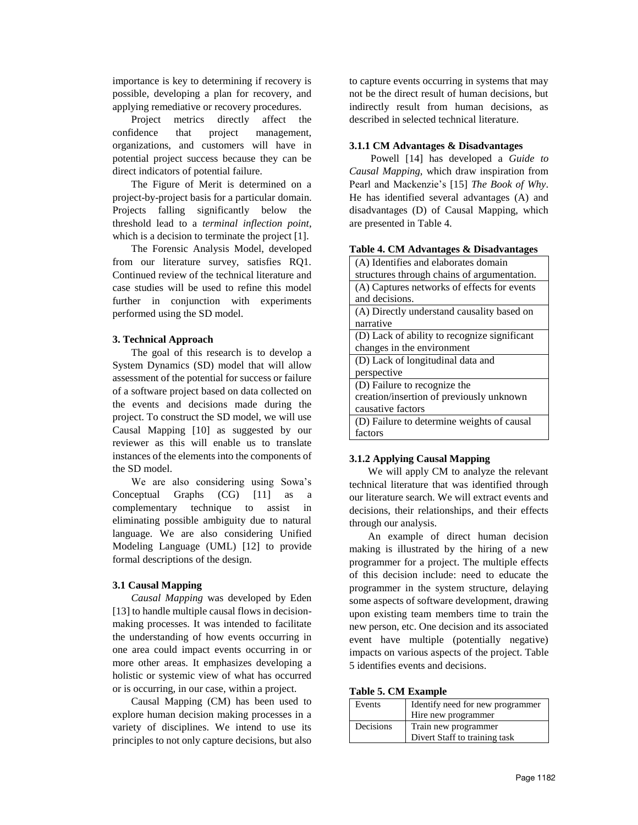importance is key to determining if recovery is possible, developing a plan for recovery, and applying remediative or recovery procedures.

Project metrics directly affect the confidence that project management, organizations, and customers will have in potential project success because they can be direct indicators of potential failure.

The Figure of Merit is determined on a project-by-project basis for a particular domain. Projects falling significantly below the threshold lead to a *terminal inflection point*, which is a decision to terminate the project [1].

The Forensic Analysis Model, developed from our literature survey, satisfies RQ1. Continued review of the technical literature and case studies will be used to refine this model further in conjunction with experiments performed using the SD model.

## **3. Technical Approach**

The goal of this research is to develop a System Dynamics (SD) model that will allow assessment of the potential for success or failure of a software project based on data collected on the events and decisions made during the project. To construct the SD model, we will use Causal Mapping [10] as suggested by our reviewer as this will enable us to translate instances of the elements into the components of the SD model.

We are also considering using Sowa's Conceptual Graphs (CG) [11] as a complementary technique to assist in eliminating possible ambiguity due to natural language. We are also considering Unified Modeling Language (UML) [12] to provide formal descriptions of the design.

## **3.1 Causal Mapping**

*Causal Mapping* was developed by Eden [13] to handle multiple causal flows in decisionmaking processes. It was intended to facilitate the understanding of how events occurring in one area could impact events occurring in or more other areas. It emphasizes developing a holistic or systemic view of what has occurred or is occurring, in our case, within a project.

Causal Mapping (CM) has been used to explore human decision making processes in a variety of disciplines. We intend to use its principles to not only capture decisions, but also to capture events occurring in systems that may not be the direct result of human decisions, but indirectly result from human decisions, as described in selected technical literature.

## **3.1.1 CM Advantages & Disadvantages**

 Powell [14] has developed a *Guide to Causal Mapping*, which draw inspiration from Pearl and Mackenzie's [15] *The Book of Why*. He has identified several advantages (A) and disadvantages (D) of Causal Mapping, which are presented in Table 4.

|  |  |  |  | Table 4. CM Advantages & Disadvantages |
|--|--|--|--|----------------------------------------|
|--|--|--|--|----------------------------------------|

## **3.1.2 Applying Causal Mapping**

We will apply CM to analyze the relevant technical literature that was identified through our literature search. We will extract events and decisions, their relationships, and their effects through our analysis.

An example of direct human decision making is illustrated by the hiring of a new programmer for a project. The multiple effects of this decision include: need to educate the programmer in the system structure, delaying some aspects of software development, drawing upon existing team members time to train the new person, etc. One decision and its associated event have multiple (potentially negative) impacts on various aspects of the project. Table 5 identifies events and decisions.

|  |  | Table 5. CM Example |
|--|--|---------------------|
|--|--|---------------------|

| Events    | Identify need for new programmer |
|-----------|----------------------------------|
|           | Hire new programmer              |
| Decisions | Train new programmer             |
|           | Divert Staff to training task    |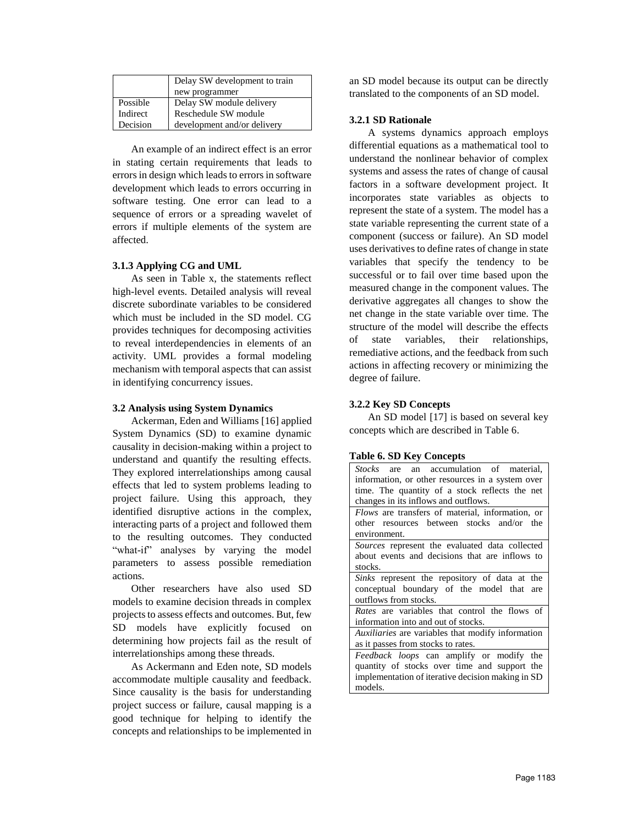|          | Delay SW development to train |
|----------|-------------------------------|
|          | new programmer                |
| Possible | Delay SW module delivery      |
| Indirect | Reschedule SW module          |
| Decision | development and/or delivery   |

An example of an indirect effect is an error in stating certain requirements that leads to errors in design which leads to errors in software development which leads to errors occurring in software testing. One error can lead to a sequence of errors or a spreading wavelet of errors if multiple elements of the system are affected.

## **3.1.3 Applying CG and UML**

As seen in Table x, the statements reflect high-level events. Detailed analysis will reveal discrete subordinate variables to be considered which must be included in the SD model. CG provides techniques for decomposing activities to reveal interdependencies in elements of an activity. UML provides a formal modeling mechanism with temporal aspects that can assist in identifying concurrency issues.

#### **3.2 Analysis using System Dynamics**

Ackerman, Eden and Williams [16] applied System Dynamics (SD) to examine dynamic causality in decision-making within a project to understand and quantify the resulting effects. They explored interrelationships among causal effects that led to system problems leading to project failure. Using this approach, they identified disruptive actions in the complex, interacting parts of a project and followed them to the resulting outcomes. They conducted "what-if" analyses by varying the model parameters to assess possible remediation actions.

Other researchers have also used SD models to examine decision threads in complex projects to assess effects and outcomes. But, few SD models have explicitly focused on determining how projects fail as the result of interrelationships among these threads.

As Ackermann and Eden note, SD models accommodate multiple causality and feedback. Since causality is the basis for understanding project success or failure, causal mapping is a good technique for helping to identify the concepts and relationships to be implemented in an SD model because its output can be directly translated to the components of an SD model.

## **3.2.1 SD Rationale**

A systems dynamics approach employs differential equations as a mathematical tool to understand the nonlinear behavior of complex systems and assess the rates of change of causal factors in a software development project. It incorporates state variables as objects to represent the state of a system. The model has a state variable representing the current state of a component (success or failure). An SD model uses derivatives to define rates of change in state variables that specify the tendency to be successful or to fail over time based upon the measured change in the component values. The derivative aggregates all changes to show the net change in the state variable over time. The structure of the model will describe the effects of state variables, their relationships, remediative actions, and the feedback from such actions in affecting recovery or minimizing the degree of failure.

## **3.2.2 Key SD Concepts**

**Table 6. SD Key Concepts** 

An SD model [17] is based on several key concepts which are described in Table 6.

| rabic <i>si bir Rey</i> concepts                         |
|----------------------------------------------------------|
| <i>Stocks</i> are an accumulation of material,           |
| information, or other resources in a system over         |
| time. The quantity of a stock reflects the net           |
| changes in its inflows and outflows.                     |
| Flows are transfers of material, information, or         |
| other resources between stocks and/or the                |
| environment.                                             |
| <i>Sources</i> represent the evaluated data collected    |
| about events and decisions that are inflows to           |
| stocks.                                                  |
| Sinks represent the repository of data at the            |
| conceptual boundary of the model that are                |
| outflows from stocks.                                    |
| Rates are variables that control the flows of            |
| information into and out of stocks.                      |
| <i>Auxiliaries</i> are variables that modify information |
| as it passes from stocks to rates.                       |
| <i>Feedback loops</i> can amplify or modify the          |
| quantity of stocks over time and support the             |
| implementation of iterative decision making in SD        |
| models.                                                  |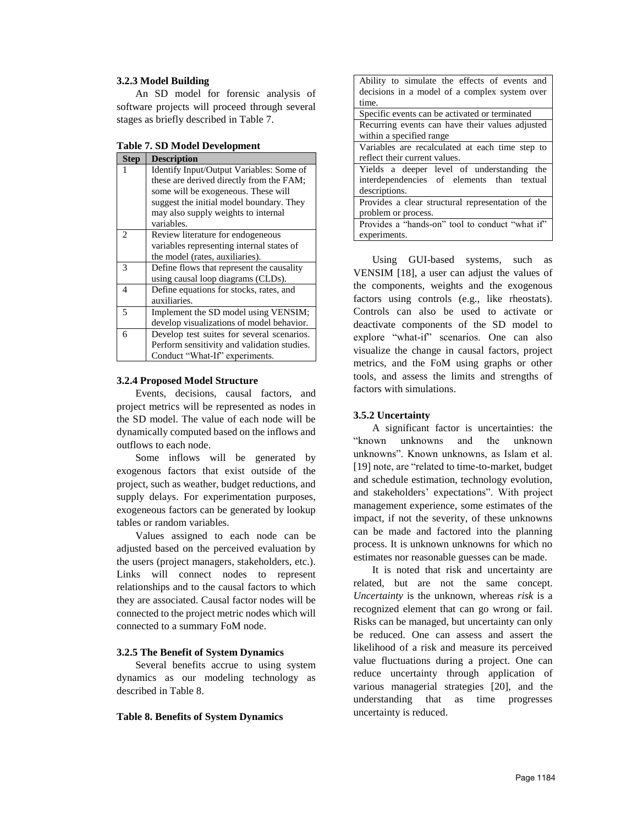#### **3.2.3 Model Building**

An SD model for forensic analysis of software projects will proceed through several stages as briefly described in Table 7.

**Table 7. SD Model Development** 

| <b>Step</b>                 | <b>Description</b>                          |
|-----------------------------|---------------------------------------------|
| 1                           | Identify Input/Output Variables: Some of    |
|                             | these are derived directly from the FAM;    |
|                             | some will be exogeneous. These will         |
|                             | suggest the initial model boundary. They    |
|                             | may also supply weights to internal         |
|                             | variables.                                  |
| $\mathcal{D}_{\mathcal{L}}$ | Review literature for endogeneous           |
|                             | variables representing internal states of   |
|                             | the model (rates, auxiliaries).             |
| 3                           | Define flows that represent the causality   |
|                             | using causal loop diagrams (CLDs).          |
| 4                           | Define equations for stocks, rates, and     |
|                             | auxiliaries.                                |
| 5                           | Implement the SD model using VENSIM;        |
|                             | develop visualizations of model behavior.   |
| 6                           | Develop test suites for several scenarios.  |
|                             | Perform sensitivity and validation studies. |
|                             | Conduct "What-If" experiments.              |

#### **3.2.4 Proposed Model Structure**

Events, decisions, causal factors, and project metrics will be represented as nodes in the SD model. The value of each node will be dynamically computed based on the inflows and outflows to each node.

Some inflows will be generated by exogenous factors that exist outside of the project, such as weather, budget reductions, and supply delays. For experimentation purposes, exogeneous factors can be generated by lookup tables or random variables.

Values assigned to each node can be adjusted based on the perceived evaluation by the users (project managers, stakeholders, etc.). Links will connect nodes to represent relationships and to the causal factors to which they are associated. Causal factor nodes will be connected to the project metric nodes which will connected to a summary FoM node.

#### **3.2.5 The Benefit of System Dynamics**

Several benefits accrue to using system dynamics as our modeling technology as described in Table 8.

**Table 8. Benefits of System Dynamics** 

| Ability to simulate the effects of events and     |
|---------------------------------------------------|
| decisions in a model of a complex system over     |
| time.                                             |
| Specific events can be activated or terminated    |
| Recurring events can have their values adjusted   |
| within a specified range                          |
| Variables are recalculated at each time step to   |
| reflect their current values.                     |
| Yields a deeper level of understanding the        |
| interdependencies of elements than textual        |
| descriptions.                                     |
| Provides a clear structural representation of the |
| problem or process.                               |
| Provides a "hands-on" tool to conduct "what if"   |
| experiments.                                      |

Using GUI-based systems, such as VENSIM [18], a user can adjust the values of the components, weights and the exogenous factors using controls (e.g., like rheostats). Controls can also be used to activate or deactivate components of the SD model to explore "what-if" scenarios. One can also visualize the change in causal factors, project metrics, and the FoM using graphs or other tools, and assess the limits and strengths of factors with simulations.

#### **3.5.2 Uncertainty**

A significant factor is uncertainties: the "known unknowns and the unknown unknowns". Known unknowns, as Islam et al. [19] note, are "related to time-to-market, budget and schedule estimation, technology evolution, and stakeholders' expectations". With project management experience, some estimates of the impact, if not the severity, of these unknowns can be made and factored into the planning process. It is unknown unknowns for which no estimates nor reasonable guesses can be made.

It is noted that risk and uncertainty are related, but are not the same concept. *Uncertainty* is the unknown, whereas *risk* is a recognized element that can go wrong or fail. Risks can be managed, but uncertainty can only be reduced. One can assess and assert the likelihood of a risk and measure its perceived value fluctuations during a project. One can reduce uncertainty through application of various managerial strategies [20], and the understanding that as time progresses uncertainty is reduced.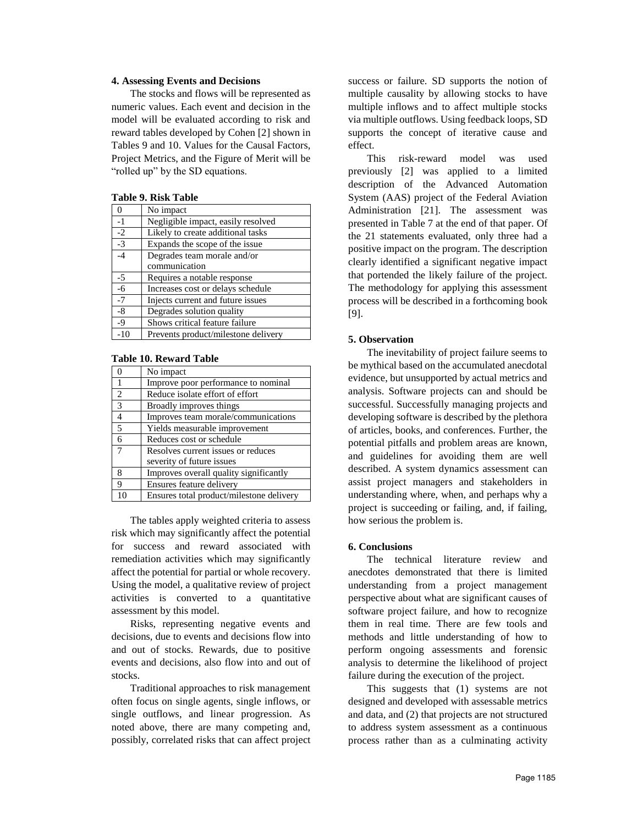#### **4. Assessing Events and Decisions**

The stocks and flows will be represented as numeric values. Each event and decision in the model will be evaluated according to risk and reward tables developed by Cohen [2] shown in Tables 9 and 10. Values for the Causal Factors, Project Metrics, and the Figure of Merit will be "rolled up" by the SD equations.

|  |  |  | Table 9. Risk Table |
|--|--|--|---------------------|
|--|--|--|---------------------|

|       | No impact                           |
|-------|-------------------------------------|
| $-1$  | Negligible impact, easily resolved  |
| $-2$  | Likely to create additional tasks   |
| $-3$  | Expands the scope of the issue      |
| -4    | Degrades team morale and/or         |
|       | communication                       |
| $-5$  | Requires a notable response         |
| $-6$  | Increases cost or delays schedule   |
| $-7$  | Injects current and future issues   |
| -8    | Degrades solution quality           |
| $-9$  | Shows critical feature failure      |
| $-10$ | Prevents product/milestone delivery |

#### **Table 10. Reward Table**

|                | No impact                                |
|----------------|------------------------------------------|
|                | Improve poor performance to nominal      |
| 2              | Reduce isolate effort of effort          |
| $\mathcal{R}$  | Broadly improves things                  |
| $\overline{4}$ | Improves team morale/communications      |
| $\overline{5}$ | Yields measurable improvement            |
| 6              | Reduces cost or schedule                 |
|                | Resolves current issues or reduces       |
|                | severity of future issues                |
| 8              | Improves overall quality significantly   |
| 9              | Ensures feature delivery                 |
| 10             | Ensures total product/milestone delivery |

The tables apply weighted criteria to assess risk which may significantly affect the potential for success and reward associated with remediation activities which may significantly affect the potential for partial or whole recovery. Using the model, a qualitative review of project activities is converted to a quantitative assessment by this model.

Risks, representing negative events and decisions, due to events and decisions flow into and out of stocks. Rewards, due to positive events and decisions, also flow into and out of stocks.

Traditional approaches to risk management often focus on single agents, single inflows, or single outflows, and linear progression. As noted above, there are many competing and, possibly, correlated risks that can affect project

success or failure. SD supports the notion of multiple causality by allowing stocks to have multiple inflows and to affect multiple stocks via multiple outflows. Using feedback loops, SD supports the concept of iterative cause and effect.

This risk-reward model was used previously [2] was applied to a limited description of the Advanced Automation System (AAS) project of the Federal Aviation Administration [21]. The assessment was presented in Table 7 at the end of that paper. Of the 21 statements evaluated, only three had a positive impact on the program. The description clearly identified a significant negative impact that portended the likely failure of the project. The methodology for applying this assessment process will be described in a forthcoming book [9].

### **5. Observation**

The inevitability of project failure seems to be mythical based on the accumulated anecdotal evidence, but unsupported by actual metrics and analysis. Software projects can and should be successful. Successfully managing projects and developing software is described by the plethora of articles, books, and conferences. Further, the potential pitfalls and problem areas are known, and guidelines for avoiding them are well described. A system dynamics assessment can assist project managers and stakeholders in understanding where, when, and perhaps why a project is succeeding or failing, and, if failing, how serious the problem is.

## **6. Conclusions**

The technical literature review and anecdotes demonstrated that there is limited understanding from a project management perspective about what are significant causes of software project failure, and how to recognize them in real time. There are few tools and methods and little understanding of how to perform ongoing assessments and forensic analysis to determine the likelihood of project failure during the execution of the project.

This suggests that (1) systems are not designed and developed with assessable metrics and data, and (2) that projects are not structured to address system assessment as a continuous process rather than as a culminating activity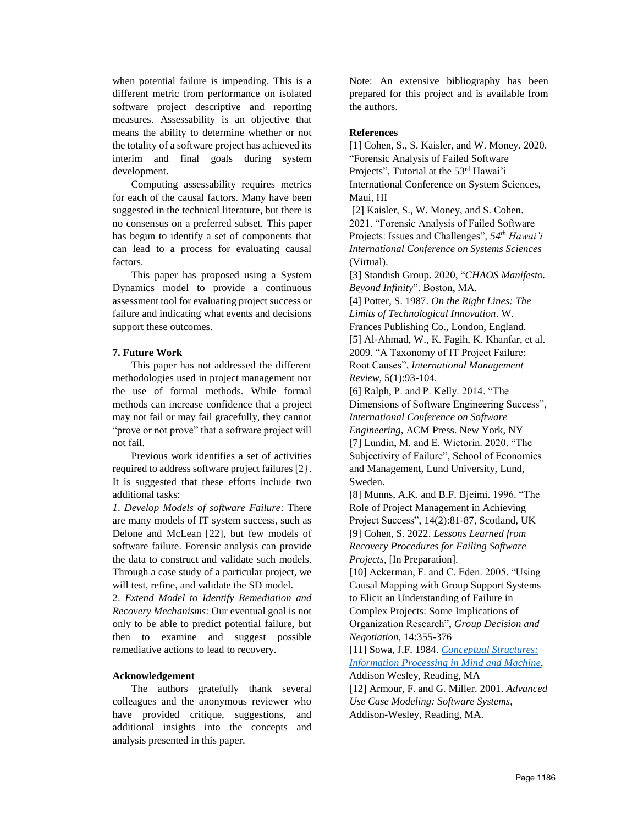when potential failure is impending. This is a different metric from performance on isolated software project descriptive and reporting measures. Assessability is an objective that means the ability to determine whether or not the totality of a software project has achieved its interim and final goals during system development.

Computing assessability requires metrics for each of the causal factors. Many have been suggested in the technical literature, but there is no consensus on a preferred subset. This paper has begun to identify a set of components that can lead to a process for evaluating causal factors.

This paper has proposed using a System Dynamics model to provide a continuous assessment tool for evaluating project success or failure and indicating what events and decisions support these outcomes.

## **7. Future Work**

This paper has not addressed the different methodologies used in project management nor the use of formal methods. While formal methods can increase confidence that a project may not fail or may fail gracefully, they cannot "prove or not prove" that a software project will not fail.

Previous work identifies a set of activities required to address software project failures [2}. It is suggested that these efforts include two additional tasks:

*1*. *Develop Models of software Failure*: There are many models of IT system success, such as Delone and McLean [22], but few models of software failure. Forensic analysis can provide the data to construct and validate such models. Through a case study of a particular project, we will test, refine, and validate the SD model.

2. *Extend Model to Identify Remediation and Recovery Mechanisms*: Our eventual goal is not only to be able to predict potential failure, but then to examine and suggest possible remediative actions to lead to recovery.

## **Acknowledgement**

The authors gratefully thank several colleagues and the anonymous reviewer who have provided critique, suggestions, and additional insights into the concepts and analysis presented in this paper.

Note: An extensive bibliography has been prepared for this project and is available from the authors.

## **References**

[1] Cohen, S., S. Kaisler, and W. Money. 2020. "Forensic Analysis of Failed Software Projects", Tutorial at the 53<sup>rd</sup> Hawai'i International Conference on System Sciences, Maui, HI [2] Kaisler, S., W. Money, and S. Cohen. 2021. "Forensic Analysis of Failed Software Projects: Issues and Challenges", *54th Hawai'i International Conference on Systems Sciences* (Virtual). [3] Standish Group. 2020, "*CHAOS Manifesto. Beyond Infinity*". Boston, MA. [4] Potter, S. 1987. *On the Right Lines: The Limits of Technological Innovation*. W. Frances Publishing Co., London, England. [5] Al-Ahmad, W., K. Fagih, K. Khanfar, et al. 2009. "A Taxonomy of IT Project Failure: Root Causes", *International Management Review*, 5(1):93-104. [6] Ralph, P. and P. Kelly. 2014. "The Dimensions of Software Engineering Success", *International Conference on Software Engineering*, ACM Press. New York, NY [7] Lundin, M. and E. Wictorin. 2020. "The Subjectivity of Failure", School of Economics and Management, Lund University, Lund, Sweden.

[8] Munns, A.K. and B.F. Bjeimi. 1996. "The Role of Project Management in Achieving Project Success", 14(2):81-87, Scotland, UK [9] Cohen, S. 2022. *Lessons Learned from Recovery Procedures for Failing Software Projects,* [In Preparation].

[10] Ackerman, F. and C. Eden. 2005. "Using Causal Mapping with Group Support Systems to Elicit an Understanding of Failure in Complex Projects: Some Implications of Organization Research", *Group Decision and Negotiation*, 14:355-376

[11] Sowa, J.F. 1984. *Concep[tual Structures:](https://archive.org/details/conceptualstruct0000sowa) Informa[tion Processing in Mind and Machine,](https://archive.org/details/conceptualstruct0000sowa)* Addison Wesley, Reading, MA [12] Armour, F. and G. Miller. 2001. *Advanced Use Case Modeling: Software Systems*, Addison-Wesley, Reading, MA.